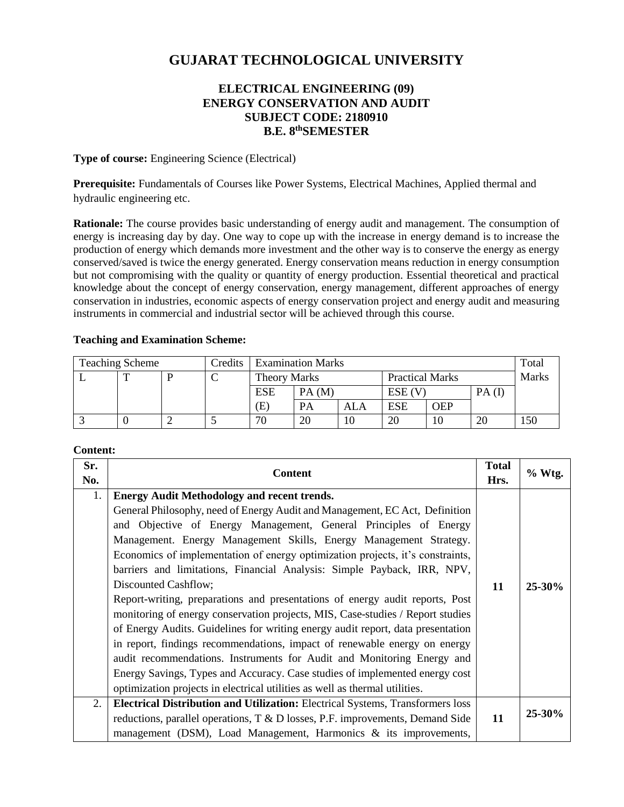# **GUJARAT TECHNOLOGICAL UNIVERSITY**

## **ELECTRICAL ENGINEERING (09) ENERGY CONSERVATION AND AUDIT SUBJECT CODE: 2180910 B.E. 8 thSEMESTER**

**Type of course:** Engineering Science (Electrical)

**Prerequisite:** Fundamentals of Courses like Power Systems, Electrical Machines, Applied thermal and hydraulic engineering etc.

**Rationale:** The course provides basic understanding of energy audit and management. The consumption of energy is increasing day by day. One way to cope up with the increase in energy demand is to increase the production of energy which demands more investment and the other way is to conserve the energy as energy conserved/saved is twice the energy generated. Energy conservation means reduction in energy consumption but not compromising with the quality or quantity of energy production. Essential theoretical and practical knowledge about the concept of energy conservation, energy management, different approaches of energy conservation in industries, economic aspects of energy conservation project and energy audit and measuring instruments in commercial and industrial sector will be achieved through this course.

#### **Teaching and Examination Scheme:**

| <b>Teaching Scheme</b> |   |  | Credits | <b>Examination Marks</b> |           |     |                        | Total      |          |              |
|------------------------|---|--|---------|--------------------------|-----------|-----|------------------------|------------|----------|--------------|
| ∸                      | m |  |         | <b>Theory Marks</b>      |           |     | <b>Practical Marks</b> |            |          | <b>Marks</b> |
|                        |   |  |         | <b>ESE</b>               | PA(M)     |     | $ESE$ (V)              |            | $PA$ (I) |              |
|                        |   |  |         | Έ)                       | <b>PA</b> | ALA | <b>ESE</b>             | <b>OEP</b> |          |              |
|                        |   |  |         | 70                       | 20        |     | 20                     | 10         | 20       | 150          |

#### **Content:**

| Sr.<br>No. | <b>Content</b>                                                                                                                                                                                                                                                                                                                                                                                                                                                                                                                                                                                                                                                                                                                                                                                                                                                                                                                                             | <b>Total</b><br>Hrs. | % Wtg.      |
|------------|------------------------------------------------------------------------------------------------------------------------------------------------------------------------------------------------------------------------------------------------------------------------------------------------------------------------------------------------------------------------------------------------------------------------------------------------------------------------------------------------------------------------------------------------------------------------------------------------------------------------------------------------------------------------------------------------------------------------------------------------------------------------------------------------------------------------------------------------------------------------------------------------------------------------------------------------------------|----------------------|-------------|
| 1.         | <b>Energy Audit Methodology and recent trends.</b><br>General Philosophy, need of Energy Audit and Management, EC Act, Definition<br>and Objective of Energy Management, General Principles of Energy<br>Management. Energy Management Skills, Energy Management Strategy.<br>Economics of implementation of energy optimization projects, it's constraints,<br>barriers and limitations, Financial Analysis: Simple Payback, IRR, NPV,<br>Discounted Cashflow;<br>Report-writing, preparations and presentations of energy audit reports, Post<br>monitoring of energy conservation projects, MIS, Case-studies / Report studies<br>of Energy Audits. Guidelines for writing energy audit report, data presentation<br>in report, findings recommendations, impact of renewable energy on energy<br>audit recommendations. Instruments for Audit and Monitoring Energy and<br>Energy Savings, Types and Accuracy. Case studies of implemented energy cost | 11                   | $25 - 30\%$ |
| 2.         | optimization projects in electrical utilities as well as thermal utilities.<br><b>Electrical Distribution and Utilization:</b> Electrical Systems, Transformers loss                                                                                                                                                                                                                                                                                                                                                                                                                                                                                                                                                                                                                                                                                                                                                                                       |                      | $25 - 30\%$ |
|            | reductions, parallel operations, T & D losses, P.F. improvements, Demand Side<br>management (DSM), Load Management, Harmonics & its improvements,                                                                                                                                                                                                                                                                                                                                                                                                                                                                                                                                                                                                                                                                                                                                                                                                          | 11                   |             |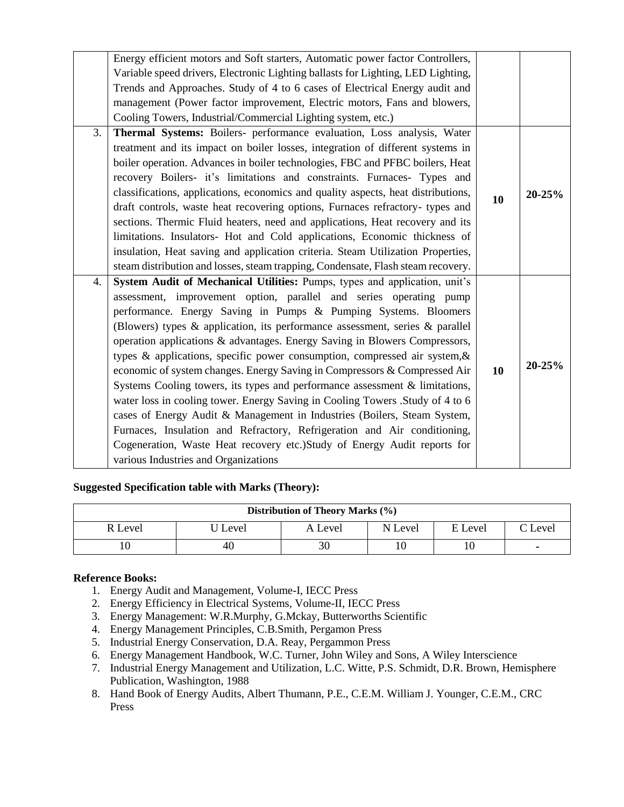|    | Energy efficient motors and Soft starters, Automatic power factor Controllers,     |    |            |
|----|------------------------------------------------------------------------------------|----|------------|
|    | Variable speed drivers, Electronic Lighting ballasts for Lighting, LED Lighting,   |    |            |
|    | Trends and Approaches. Study of 4 to 6 cases of Electrical Energy audit and        |    |            |
|    | management (Power factor improvement, Electric motors, Fans and blowers,           |    |            |
|    | Cooling Towers, Industrial/Commercial Lighting system, etc.)                       |    |            |
| 3. | Thermal Systems: Boilers- performance evaluation, Loss analysis, Water             |    |            |
|    | treatment and its impact on boiler losses, integration of different systems in     |    |            |
|    | boiler operation. Advances in boiler technologies, FBC and PFBC boilers, Heat      |    |            |
|    | recovery Boilers- it's limitations and constraints. Furnaces- Types and            |    |            |
|    | classifications, applications, economics and quality aspects, heat distributions,  | 10 | $20 - 25%$ |
|    | draft controls, waste heat recovering options, Furnaces refractory- types and      |    |            |
|    | sections. Thermic Fluid heaters, need and applications, Heat recovery and its      |    |            |
|    | limitations. Insulators- Hot and Cold applications, Economic thickness of          |    |            |
|    | insulation, Heat saving and application criteria. Steam Utilization Properties,    |    |            |
|    | steam distribution and losses, steam trapping, Condensate, Flash steam recovery.   |    |            |
| 4. | System Audit of Mechanical Utilities: Pumps, types and application, unit's         |    |            |
|    | assessment, improvement option, parallel and series operating pump                 |    |            |
|    | performance. Energy Saving in Pumps & Pumping Systems. Bloomers                    |    |            |
|    | (Blowers) types $\&$ application, its performance assessment, series $\&$ parallel |    |            |
|    | operation applications & advantages. Energy Saving in Blowers Compressors,         |    |            |
|    | types & applications, specific power consumption, compressed air system, &         |    |            |
|    | economic of system changes. Energy Saving in Compressors & Compressed Air          | 10 | $20 - 25%$ |
|    | Systems Cooling towers, its types and performance assessment & limitations,        |    |            |
|    | water loss in cooling tower. Energy Saving in Cooling Towers . Study of 4 to 6     |    |            |
|    | cases of Energy Audit & Management in Industries (Boilers, Steam System,           |    |            |
|    | Furnaces, Insulation and Refractory, Refrigeration and Air conditioning,           |    |            |
|    | Cogeneration, Waste Heat recovery etc.)Study of Energy Audit reports for           |    |            |
|    | various Industries and Organizations                                               |    |            |
|    |                                                                                    |    |            |

## **Suggested Specification table with Marks (Theory):**

| Distribution of Theory Marks (%) |          |         |         |         |         |  |  |
|----------------------------------|----------|---------|---------|---------|---------|--|--|
| R Level                          | 'J Level | A Level | N Level | E Level | C Level |  |  |
|                                  | 40       | 30      |         |         | ۰       |  |  |

## **Reference Books:**

- 1. Energy Audit and Management, Volume-I, IECC Press
- 2. Energy Efficiency in Electrical Systems, Volume-II, IECC Press
- 3. Energy Management: W.R.Murphy, G.Mckay, Butterworths Scientific
- 4. Energy Management Principles, C.B.Smith, Pergamon Press
- 5. Industrial Energy Conservation, D.A. Reay, Pergammon Press
- 6. Energy Management Handbook, W.C. Turner, John Wiley and Sons, A Wiley Interscience
- 7. Industrial Energy Management and Utilization, L.C. Witte, P.S. Schmidt, D.R. Brown, Hemisphere Publication, Washington, 1988
- 8. Hand Book of Energy Audits, Albert Thumann, P.E., C.E.M. William J. Younger, C.E.M., CRC Press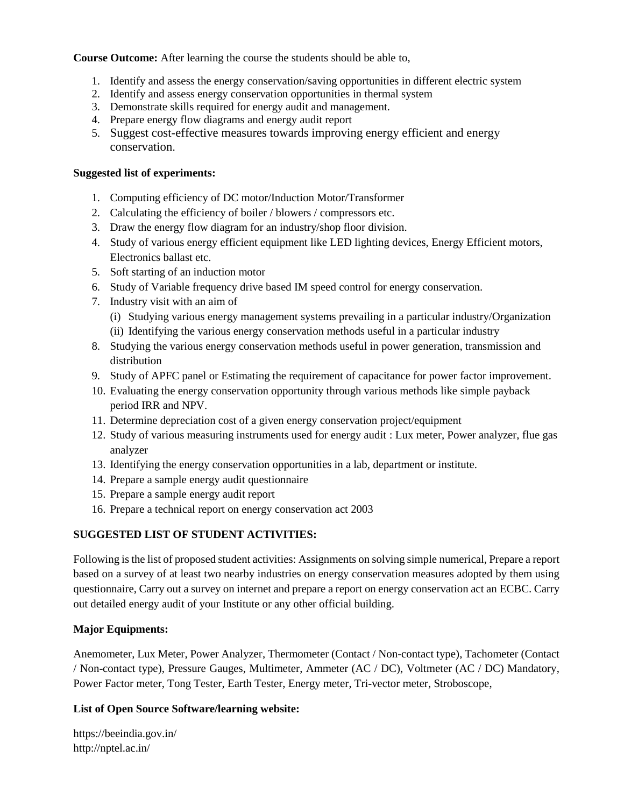**Course Outcome:** After learning the course the students should be able to,

- 1. Identify and assess the energy conservation/saving opportunities in different electric system
- 2. Identify and assess energy conservation opportunities in thermal system
- 3. Demonstrate skills required for energy audit and management.
- 4. Prepare energy flow diagrams and energy audit report
- 5. Suggest cost-effective measures towards improving energy efficient and energy conservation.

#### **Suggested list of experiments:**

- 1. Computing efficiency of DC motor/Induction Motor/Transformer
- 2. Calculating the efficiency of boiler / blowers / compressors etc.
- 3. Draw the energy flow diagram for an industry/shop floor division.
- 4. Study of various energy efficient equipment like LED lighting devices, Energy Efficient motors, Electronics ballast etc.
- 5. Soft starting of an induction motor
- 6. Study of Variable frequency drive based IM speed control for energy conservation.
- 7. Industry visit with an aim of
	- (i) Studying various energy management systems prevailing in a particular industry/Organization
	- (ii) Identifying the various energy conservation methods useful in a particular industry
- 8. Studying the various energy conservation methods useful in power generation, transmission and distribution
- 9. Study of APFC panel or Estimating the requirement of capacitance for power factor improvement.
- 10. Evaluating the energy conservation opportunity through various methods like simple payback period IRR and NPV.
- 11. Determine depreciation cost of a given energy conservation project/equipment
- 12. Study of various measuring instruments used for energy audit : Lux meter, Power analyzer, flue gas analyzer
- 13. Identifying the energy conservation opportunities in a lab, department or institute.
- 14. Prepare a sample energy audit questionnaire
- 15. Prepare a sample energy audit report
- 16. Prepare a technical report on energy conservation act 2003

# **SUGGESTED LIST OF STUDENT ACTIVITIES:**

Following is the list of proposed student activities: Assignments on solving simple numerical, Prepare a report based on a survey of at least two nearby industries on energy conservation measures adopted by them using questionnaire, Carry out a survey on internet and prepare a report on energy conservation act an ECBC. Carry out detailed energy audit of your Institute or any other official building.

## **Major Equipments:**

Anemometer, Lux Meter, Power Analyzer, Thermometer (Contact / Non-contact type), Tachometer (Contact / Non-contact type), Pressure Gauges, Multimeter, Ammeter (AC / DC), Voltmeter (AC / DC) Mandatory, Power Factor meter, Tong Tester, Earth Tester, Energy meter, Tri-vector meter, Stroboscope,

## **List of Open Source Software/learning website:**

https://beeindia.gov.in/ http://nptel.ac.in/